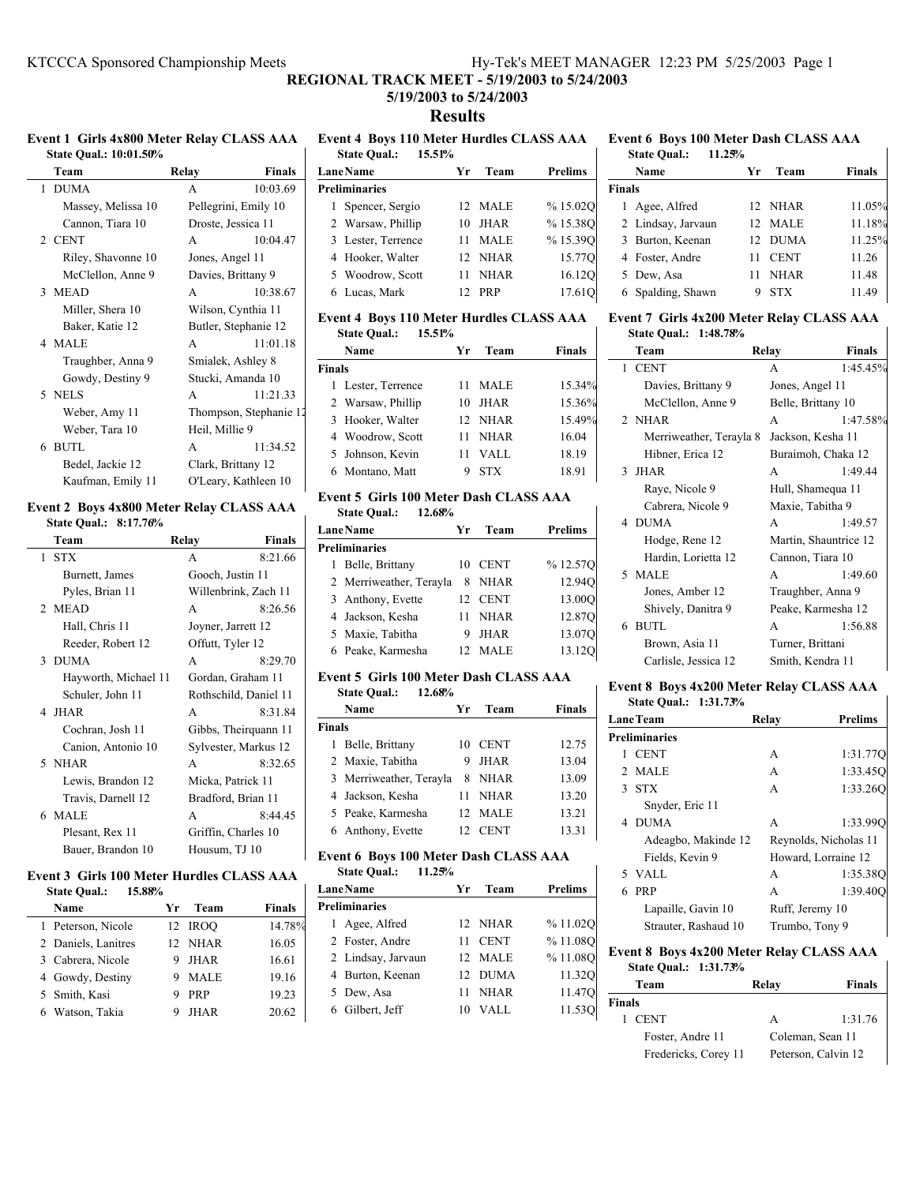## **REGIONAL TRACK MEET - 5/19/2003 to 5/24/2003**

## **5/19/2003 to 5/24/2003 Results**

**State Qual.: 10:01.50%**

 $\mathbf{I}$ 

| Team               | <b>Finals</b><br>Relay |  |  |
|--------------------|------------------------|--|--|
| 1 DUMA             | 10:03.69<br>A          |  |  |
| Massey, Melissa 10 | Pellegrini, Emily 10   |  |  |
| Cannon, Tiara 10   | Droste, Jessica 11     |  |  |
| 2 CENT             | 10:04.47<br>A          |  |  |
| Riley, Shavonne 10 | Jones, Angel 11        |  |  |
| McClellon, Anne 9  | Davies, Brittany 9     |  |  |
| 3 MEAD             | 10:38.67<br>A          |  |  |
| Miller, Shera 10   | Wilson, Cynthia 11     |  |  |
| Baker, Katie 12    | Butler, Stephanie 12   |  |  |
| 4 MALE             | 11:01.18<br>A          |  |  |
| Traughber, Anna 9  | Smialek, Ashley 8      |  |  |
| Gowdy, Destiny 9   | Stucki, Amanda 10      |  |  |
| 5 NELS             | 11:21.33<br>A          |  |  |
| Weber, Amy 11      | Thompson, Stephanie 12 |  |  |
| Weber, Tara 10     | Heil, Millie 9         |  |  |
| 6 BUTL             | 11:34.52<br>A          |  |  |
| Bedel, Jackie 12   | Clark, Brittany 12     |  |  |
| Kaufman, Emily 11  | O'Leary, Kathleen 10   |  |  |

#### **Event 2 Boys 4x800 Meter Relay CLASS AAA State Qual.: 8:17.76%**

|   | Team                               | Relay              | Finals                             |
|---|------------------------------------|--------------------|------------------------------------|
| 1 | <b>STX</b>                         | A                  | 8:21.66                            |
|   | Burnett, James                     | Gooch, Justin 11   |                                    |
|   | Pyles, Brian 11                    |                    | Willenbrink, Zach 11               |
|   | 2 MEAD                             | A                  | 8:26.56                            |
|   | Hall, Chris 11                     | Joyner, Jarrett 12 |                                    |
|   | Reeder, Robert 12                  | Offutt, Tyler 12   |                                    |
|   | 3 DUMA                             | A                  | 8:29.70                            |
|   | Hayworth, Michael 11               |                    | Gordan, Graham 11                  |
|   | Schuler, John 11                   |                    | Rothschild, Daniel 11              |
|   | 4 JHAR                             | A                  | 8:31.84                            |
|   | Cochran, Josh 11                   |                    | Gibbs, Theirquann 11               |
|   | Canion, Antonio 10                 |                    | Sylvester, Markus 12               |
|   | 5 NHAR                             | A                  | 8:32.65                            |
|   | Lewis, Brandon 12                  | Micka, Patrick 11  |                                    |
|   | Travis, Darnell 12                 |                    | Bradford, Brian 11                 |
|   | 6 MALE                             | A                  | 8:44.45                            |
|   | Plesant, Rex 11                    |                    | Griffin, Charles 10                |
|   | Bauer, Brandon 10                  | Housum, TJ 10      |                                    |
|   | $\sim$ $\sim$ $\sim$ $\sim$ $\sim$ |                    | $\sim$ $\sim$ $\sim$ $\sim$ $\sim$ |

#### **Event 3 Girls 100 Meter Hurdles CLASS AAA State Qual.: 15.88%**

| Name                | Уr | Team        | <b>Finals</b> |
|---------------------|----|-------------|---------------|
| 1 Peterson, Nicole  |    | 12 IROO     | 14.78%        |
| 2 Daniels, Lanitres |    | 12 NHAR     | 16.05         |
| 3 Cabrera, Nicole   |    | JHAR        | 16.61         |
| 4 Gowdy, Destiny    |    | <b>MALE</b> | 19.16         |
| 5 Smith, Kasi       |    | <b>PRP</b>  | 19.23         |
| 6 Watson, Takia     |    | <b>JHAR</b> | 20.62         |

## **Event 1 Girls 4x800 Meter Relay CLASS AAA Event 4 Boys 110 Meter Hurdles CLASS AAA**

| <b>State Qual.:</b><br>15.51% |                      |    |             |                |  |
|-------------------------------|----------------------|----|-------------|----------------|--|
|                               | <b>LaneName</b>      | Уr | Team        | <b>Prelims</b> |  |
|                               | <b>Preliminaries</b> |    |             |                |  |
|                               | 1 Spencer, Sergio    |    | 12 MALE     | % 15.02O       |  |
|                               | 2 Warsaw, Phillip    | 10 | <b>JHAR</b> | %15.38O        |  |
|                               | 3 Lester, Terrence   | 11 | <b>MALE</b> | %15.39O        |  |
|                               | 4 Hooker, Walter     |    | 12 NHAR     | 15.77Q         |  |
|                               | 5 Woodrow, Scott     | 11 | <b>NHAR</b> | 16.120         |  |
|                               | 6 Lucas, Mark        | 12 | <b>PRP</b>  | 17.610         |  |
|                               |                      |    |             |                |  |

#### **Event 4 Boys 110 Meter Hurdles CLASS AAA State Qual.: 15.51%**

|               | Name               | Уr | Team        | <b>Finals</b> |
|---------------|--------------------|----|-------------|---------------|
| <b>Finals</b> |                    |    |             |               |
|               | 1 Lester, Terrence | 11 | <b>MALE</b> | 15.34%        |
|               | 2 Warsaw, Phillip  | 10 | JHAR        | 15.36%        |
|               | 3 Hooker, Walter   |    | 12 NHAR     | 15.49%        |
|               | 4 Woodrow, Scott   | 11 | <b>NHAR</b> | 16.04         |
|               | 5 Johnson, Kevin   | 11 | VALL        | 18.19         |
|               | 6 Montano, Matt    |    | <b>STX</b>  | 18.91         |

#### **Event 5 Girls 100 Meter Dash CLASS AAA State Qual.: 12.68%**

| <b>LaneName</b>         | Yr | Team        | <b>Prelims</b> |
|-------------------------|----|-------------|----------------|
| <b>Preliminaries</b>    |    |             |                |
| 1 Belle, Brittany       | 10 | <b>CENT</b> | %12.57Q        |
| 2 Merriweather, Terayla | 8. | NHAR        | 12.940         |
| 3 Anthony, Evette       |    | 12 CENT     | 13.00O         |
| 4 Jackson, Kesha        | 11 | NHAR        | 12.87Q         |
| 5 Maxie, Tabitha        | 9  | <b>JHAR</b> | 13.070         |
| 6 Peake, Karmesha       |    | - MALE      | 13.120         |

## **Event 5 Girls 100 Meter Dash CLASS AAA**

| 12.68%<br><b>State Qual.:</b> |                                                                                                                            |             |               |
|-------------------------------|----------------------------------------------------------------------------------------------------------------------------|-------------|---------------|
| Name                          | Уr                                                                                                                         | Team        | <b>Finals</b> |
|                               |                                                                                                                            |             |               |
| Belle, Brittany               | 10                                                                                                                         | <b>CENT</b> | 12.75         |
|                               | 9                                                                                                                          | <b>JHAR</b> | 13.04         |
|                               | 8                                                                                                                          | <b>NHAR</b> | 13.09         |
|                               | 11                                                                                                                         | <b>NHAR</b> | 13.20         |
|                               | 12.                                                                                                                        |             | 13.21         |
|                               | 12                                                                                                                         | <b>CENT</b> | 13.31         |
|                               | <b>Finals</b><br>2 Maxie, Tabitha<br>3 Merriweather, Terayla<br>4 Jackson, Kesha<br>5 Peake, Karmesha<br>6 Anthony, Evette |             | <b>MALE</b>   |

#### **Event 6 Boys 100 Meter Dash CLASS AAA State Qual.: 11.25%**

| state Qual.:<br>11.25% |     |             |                |
|------------------------|-----|-------------|----------------|
| LaneName               | Yr  | Team        | <b>Prelims</b> |
| <b>Preliminaries</b>   |     |             |                |
| 1 Agee, Alfred         |     | 12 NHAR     | %11.02O        |
| 2 Foster, Andre        | 11. | <b>CENT</b> | %11.08O        |
| 2 Lindsay, Jarvaun     |     | 12 MALE     | %11.08O        |
| 4 Burton, Keenan       |     | 12 DUMA     | 11.320         |
| 5 Dew, Asa             | 11  | <b>NHAR</b> | 11.470         |
| 6 Gilbert, Jeff        | 10  | VALL        | 11.530         |
|                        |     |             |                |

#### **Event 6 Boys 100 Meter Dash CLASS AAA State Qual.: 11.25%**

| <b>State Qual.:</b><br>11.25% |    |             |               |  |
|-------------------------------|----|-------------|---------------|--|
| Name                          | Yr | Team        | <b>Finals</b> |  |
| <b>Finals</b>                 |    |             |               |  |
| 1 Agee, Alfred                |    | 12 NHAR     | 11.05%        |  |
| 2 Lindsay, Jarvaun            |    | 12 MALE     | 11.18%        |  |
| 3 Burton, Keenan              |    | 12 DUMA     | 11.25%        |  |
| 4 Foster, Andre               | 11 | <b>CENT</b> | 11.26         |  |
| 5 Dew, Asa                    | 11 | <b>NHAR</b> | 11.48         |  |
| 6 Spalding, Shawn             |    | <b>STX</b>  | 11.49         |  |

#### **Event 7 Girls 4x200 Meter Relay CLASS AAA State Qual.: 1:48.78%**

| Team                    | Relay                 | Finals   |
|-------------------------|-----------------------|----------|
| 1 CENT                  | A                     | 1:45.45% |
| Davies, Brittany 9      | Jones, Angel 11       |          |
| McClellon, Anne 9       | Belle, Brittany 10    |          |
| 2 NHAR                  | A                     | 1:47.58% |
| Merriweather, Terayla 8 | Jackson, Kesha 11     |          |
| Hibner, Erica 12        | Buraimoh, Chaka 12    |          |
| 3 JHAR                  | A                     | 1:49.44  |
| Raye, Nicole 9          | Hull, Shamequa 11     |          |
| Cabrera, Nicole 9       | Maxie, Tabitha 9      |          |
| 4 DUMA                  | A                     | 1:49.57  |
| Hodge, Rene 12          | Martin, Shauntrice 12 |          |
| Hardin, Lorietta 12     | Cannon, Tiara 10      |          |
| 5 MALE                  | A                     | 1:49.60  |
| Jones, Amber 12         | Traughber, Anna 9     |          |
| Shively, Danitra 9      | Peake, Karmesha 12    |          |
| 6 BUTL                  | A                     | 1:56.88  |
| Brown, Asia 11          | Turner, Brittani      |          |
| Carlisle, Jessica 12    | Smith, Kendra 11      |          |

#### **Event 8 Boys 4x200 Meter Relay CLASS AAA**

|    | State Qual.: 1:31.73% |                |                       |
|----|-----------------------|----------------|-----------------------|
|    | <b>LaneTeam</b>       | Relay          | <b>Prelims</b>        |
|    | <b>Preliminaries</b>  |                |                       |
| 1. | <b>CENT</b>           | A              | 1:31.77Q              |
|    | 2 MALE                | A              | 1:33.45O              |
|    | 3 STX                 | A              | 1:33.260              |
|    | Snyder, Eric 11       |                |                       |
|    | 4 DUMA                | A              | 1:33.99C              |
|    | Adeagbo, Makinde 12   |                | Reynolds, Nicholas 11 |
|    | Fields, Kevin 9       |                | Howard, Lorraine 12   |
|    | 5 VALL                | A              | 1:35.38O              |
|    | <b>PRP</b>            | A              | 1:39.400              |
|    | Lapaille, Gavin 10    |                | Ruff, Jeremy 10       |
|    | Strauter, Rashaud 10  | Trumbo, Tony 9 |                       |
|    |                       |                |                       |

## **Event 8 Boys 4x200 Meter Relay CLASS AAA**

**State Qual.: 1:31.73%**

|               | Team                 | Relay               | Finals           |
|---------------|----------------------|---------------------|------------------|
| <b>Finals</b> |                      |                     |                  |
|               | 1 CENT               | A                   | 1:31.76          |
|               | Foster, Andre 11     |                     | Coleman, Sean 11 |
|               | Fredericks, Corey 11 | Peterson, Calvin 12 |                  |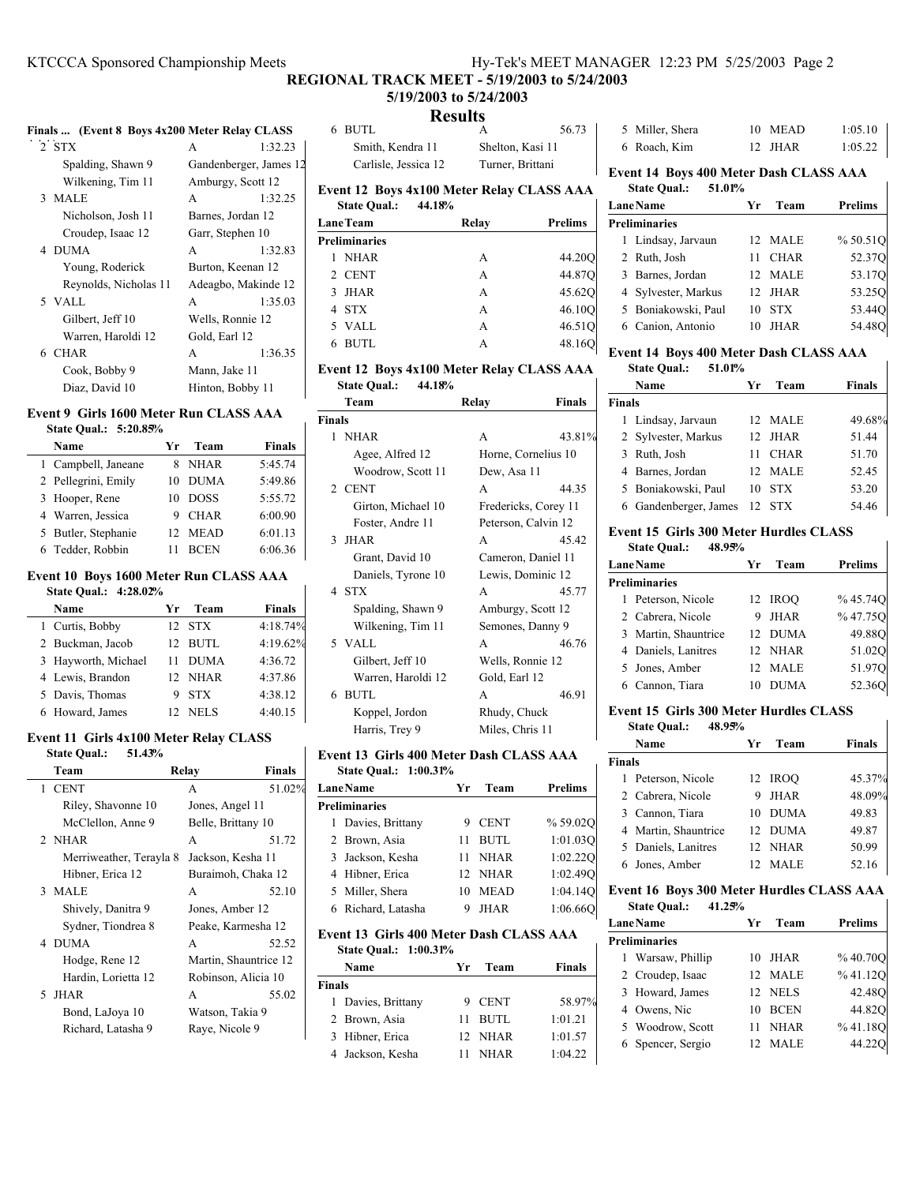### **REGIONAL TRACK MEET - 5/19/2003 to 5/24/2003**

#### **5/19/2003 to 5/24/2003 Results** 6 56.73 BUTL A

#### **Finals ... (Event 8 Boys 4x200 Meter Relay CLASS**

| 2 STX                 | A                      | 1:32.23 |
|-----------------------|------------------------|---------|
| Spalding, Shawn 9     | Gandenberger, James 12 |         |
| Wilkening, Tim 11     | Amburgy, Scott 12      |         |
| 3 MALE                | A                      | 1:32.25 |
| Nicholson, Josh 11    | Barnes, Jordan 12      |         |
| Croudep, Isaac 12     | Garr, Stephen 10       |         |
| 4 DUMA                | A                      | 1:32.83 |
| Young, Roderick       | Burton, Keenan 12      |         |
| Reynolds, Nicholas 11 | Adeagbo, Makinde 12    |         |
| 5 VALL                | A                      | 1:35.03 |
| Gilbert, Jeff 10      | Wells, Ronnie 12       |         |
| Warren, Haroldi 12    | Gold, Earl 12          |         |
| 6 CHAR                | A                      | 1:36.35 |
| Cook, Bobby 9         | Mann, Jake 11          |         |
| Diaz, David 10        | Hinton, Bobby 11       |         |

## **Event 9 Girls 1600 Meter Run CLASS AAA**

| State Oual.: 5:20.85% |                 |             |               |
|-----------------------|-----------------|-------------|---------------|
| Name                  | Yr              | Team        | <b>Finals</b> |
| 1 Campbell, Janeane   |                 | NHAR        | 5:45.74       |
| 2 Pellegrini, Emily   | 10              | <b>DUMA</b> | 5:49.86       |
| 3 Hooper, Rene        | 10              | <b>DOSS</b> | 5:55.72       |
| 4 Warren, Jessica     | 9               | <b>CHAR</b> | 6:00.90       |
| 5 Butler, Stephanie   | 12 <sup>2</sup> | <b>MEAD</b> | 6:01.13       |
| 6 Tedder, Robbin      |                 | <b>BCEN</b> | 6:06.36       |

#### **Event 10 Boys 1600 Meter Run CLASS AAA**

| <b>State Oual.: 4:28.02%</b> |                                |               |
|------------------------------|--------------------------------|---------------|
| Name                         | Team<br>Уr                     | <b>Finals</b> |
| 1 Curtis, Bobby              | 12 STX                         | 4:18.74%      |
| 2 Buckman, Jacob             | 12 BUTL                        | 4:19.62%      |
| 3 Hayworth, Michael          | DUMA<br>11                     | 4:36.72       |
| 4 Lewis, Brandon             | 12 NHAR                        | 4:37.86       |
| 5 Davis, Thomas              | <b>STX</b>                     | 4:38.12       |
| 6 Howard, James              | <b>NELS</b><br>12 <sub>1</sub> | 4:40.15       |

#### **Event 11 Girls 4x100 Meter Relay CLASS State Qual.: 51.43%**

| Team                        | Relay               | <b>Finals</b>         |
|-----------------------------|---------------------|-----------------------|
| <b>CENT</b><br>$\mathbf{1}$ | A                   | 51.02%                |
| Riley, Shavonne 10          | Jones, Angel 11     |                       |
| McClellon, Anne 9           | Belle, Brittany 10  |                       |
| 2 NHAR                      | A                   | 51.72                 |
| Merriweather, Terayla 8     | Jackson, Kesha 11   |                       |
| Hibner, Erica 12            | Buraimoh, Chaka 12  |                       |
| 3 MALE                      | A                   | 52.10                 |
| Shively, Danitra 9          | Jones, Amber 12     |                       |
| Sydner, Tiondrea 8          | Peake, Karmesha 12  |                       |
| 4 DUMA                      | A                   | 52.52                 |
| Hodge, Rene 12              |                     | Martin, Shauntrice 12 |
| Hardin, Lorietta 12         | Robinson, Alicia 10 |                       |
| 5 JHAR                      | A                   | 55.02                 |
| Bond, LaJoya 10             | Watson, Takia 9     |                       |
| Richard, Latasha 9          | Rave, Nicole 9      |                       |

# Smith, Kendra 11 Shelton, Kasi 11 Carlisle, Jessica 12 Turner, Brittani

**Event 12 Boys 4x100 Meter Relay CLASS AAA State Qual.: 44.18%**

| <b>LaneTeam</b>      | Relay | <b>Prelims</b> |
|----------------------|-------|----------------|
| <b>Preliminaries</b> |       |                |
| <b>NHAR</b>          | A     | 44.20Q         |
| 2 CENT               | A     | 44.87Q         |
| JHAR<br>3            | A     | 45.62Q         |
| 4 STX                | A     | 46.10Q         |
| 5 VALL               | A     | 46.51Q         |
| <b>BUTL</b>          | А     | 48.16C         |

### **Event 12 Boys 4x100 Meter Relay CLASS AAA State Qual.: 44.18%**

|               | Team               | Relay<br>Finals      |        |
|---------------|--------------------|----------------------|--------|
| <b>Finals</b> |                    |                      |        |
| $\mathbf{1}$  | <b>NHAR</b>        | A                    | 43.81% |
|               | Agee, Alfred 12    | Horne, Cornelius 10  |        |
|               | Woodrow, Scott 11  | Dew, Asa 11          |        |
|               | 2 CENT             | A                    | 44.35  |
|               | Girton, Michael 10 | Fredericks, Corey 11 |        |
|               | Foster, Andre 11   | Peterson, Calvin 12  |        |
|               | 3 JHAR             | A                    | 45.42  |
|               | Grant, David 10    | Cameron, Daniel 11   |        |
|               | Daniels, Tyrone 10 | Lewis, Dominic 12    |        |
|               | 4 STX              | A                    | 45.77  |
|               | Spalding, Shawn 9  | Amburgy, Scott 12    |        |
|               | Wilkening, Tim 11  | Semones, Danny 9     |        |
|               | 5 VALL             | A                    | 46.76  |
|               | Gilbert, Jeff 10   | Wells, Ronnie 12     |        |
|               | Warren, Haroldi 12 | Gold, Earl 12        |        |
|               | 6 BUTL             | A                    | 46.91  |
|               | Koppel, Jordon     | Rhudy, Chuck         |        |
|               | Harris, Trey 9     | Miles, Chris 11      |        |

#### **Event 13 Girls 400 Meter Dash CLASS AAA**

| <b>State Oual.: 1:00.31%</b> |    |             |          |  |  |
|------------------------------|----|-------------|----------|--|--|
| <b>LaneName</b>              | Уr | Team        | Prelims  |  |  |
| <b>Preliminaries</b>         |    |             |          |  |  |
| 1 Davies, Brittany           |    | 9 CENT      | % 59.02O |  |  |
| 2 Brown, Asia                | 11 | <b>BUTL</b> | 1:01.030 |  |  |
| 3 Jackson, Kesha             |    | 11 NHAR     | 1:02.220 |  |  |
| 4 Hibner, Erica              |    | 12 NHAR     | 1:02.490 |  |  |
| 5 Miller, Shera              | 10 | <b>MEAD</b> | 1:04.140 |  |  |
| 6 Richard, Latasha           | 9  | <b>JHAR</b> | 1:06.660 |  |  |
|                              |    |             |          |  |  |

#### **Event 13 Girls 400 Meter Dash CLASS AAA State Qual.: 1:00.31%**

| Name               | Yr  | Team        | <b>Finals</b> |
|--------------------|-----|-------------|---------------|
| <b>Finals</b>      |     |             |               |
| 1 Davies, Brittany |     | 9 CENT      | 58.97%        |
| 2 Brown, Asia      |     | 11 BUTL     | 1:01.21       |
| 3 Hibner, Erica    |     | 12 NHAR     | 1:01.57       |
| 4 Jackson, Kesha   | 11. | <b>NHAR</b> | 1:04.22       |

| 5 Miller, Shera | 10 MEAD | 1:05.10 |
|-----------------|---------|---------|
| 6 Roach, Kim    | 12 JHAR | 1:05.22 |

## **Event 14 Boys 400 Meter Dash CLASS AAA State Qual.: 51.01%**

| Yr  | Team        | <b>Prelims</b>             |
|-----|-------------|----------------------------|
|     |             |                            |
|     |             | %50.51Q                    |
| 11  | <b>CHAR</b> | 52.370                     |
|     |             | 53.17O                     |
| 12. |             | 53.250                     |
| 10  | <b>STX</b>  | 53.440                     |
| 10  | <b>IHAR</b> | 54.48                      |
|     |             | 12 MALE<br>12 MALE<br>JHAR |

## **Event 14 Boys 400 Meter Dash CLASS AAA**

## **State Qual.: 51.01%**

|               | Name                  | Уr | Team        | <b>Finals</b> |
|---------------|-----------------------|----|-------------|---------------|
| <b>Finals</b> |                       |    |             |               |
|               | 1 Lindsay, Jarvaun    |    | 12 MALE     | 49.68%        |
|               | 2 Sylvester, Markus   |    | 12 JHAR     | 51.44         |
|               | 3 Ruth, Josh          | 11 | <b>CHAR</b> | 51.70         |
|               | 4 Barnes, Jordan      |    | 12 MALE     | 52.45         |
|               | 5 Boniakowski, Paul   | 10 | <b>STX</b>  | 53.20         |
|               | 6 Gandenberger, James |    | 12 STX      | 54.46         |

#### **Event 15 Girls 300 Meter Hurdles CLASS**

| <b>State Qual.:</b> | 48.95% |
|---------------------|--------|
|---------------------|--------|

| <b>LaneName</b> |                      | Vr | Team        | <b>Prelims</b> |
|-----------------|----------------------|----|-------------|----------------|
|                 | <b>Preliminaries</b> |    |             |                |
|                 | 1 Peterson, Nicole   |    | 12 IROO     | % 45.74Q       |
|                 | 2 Cabrera, Nicole    | 9  | <b>JHAR</b> | %47.75Q        |
|                 | 3 Martin, Shauntrice |    | 12 DUMA     | 49.88Q         |
|                 | 4 Daniels, Lanitres  |    | 12 NHAR     | 51.02Q         |
|                 | 5 Jones, Amber       |    | 12 MALE     | 51.970         |
|                 | 6 Cannon, Tiara      |    | <b>DUMA</b> | 52.360         |
|                 |                      |    |             |                |

#### **Event 15 Girls 300 Meter Hurdles CLASS**

#### **State Qual.: 48.95%**

|               | Name                 | Уr  | Team        | <b>Finals</b> |
|---------------|----------------------|-----|-------------|---------------|
| <b>Finals</b> |                      |     |             |               |
|               | 1 Peterson, Nicole   |     | 12 IROO     | 45.37%        |
|               | 2 Cabrera, Nicole    | 9   | <b>JHAR</b> | 48.09%        |
|               | 3 Cannon, Tiara      | 10. | <b>DUMA</b> | 49.83         |
|               | 4 Martin, Shauntrice |     | 12 DUMA     | 49.87         |
|               | 5 Daniels, Lanitres  |     | 12 NHAR     | 50.99         |
|               | 6 Jones, Amber       | 12  | MALE        | 52.16         |

 $\mathsf{l}$ 

#### **Event 16 Boys 300 Meter Hurdles CLASS AAA State Qual.: 41.25%**

| <b>LaneName</b>      | Yr | Team        | <b>Prelims</b> |
|----------------------|----|-------------|----------------|
| <b>Preliminaries</b> |    |             |                |
| 1 Warsaw, Phillip    | 10 | JHAR        | %40.70O        |
| 2 Croudep, Isaac     | 12 | <b>MALE</b> | %41.12O        |
| 3 Howard, James      |    | 12 NELS     | 42.48O         |
| 4 Owens, Nic         | 10 | <b>BCEN</b> | 44.82O         |
| 5 Woodrow, Scott     |    | <b>NHAR</b> | %41.18O        |
| 6 Spencer, Sergio    | 12 | MALE        | 44.220         |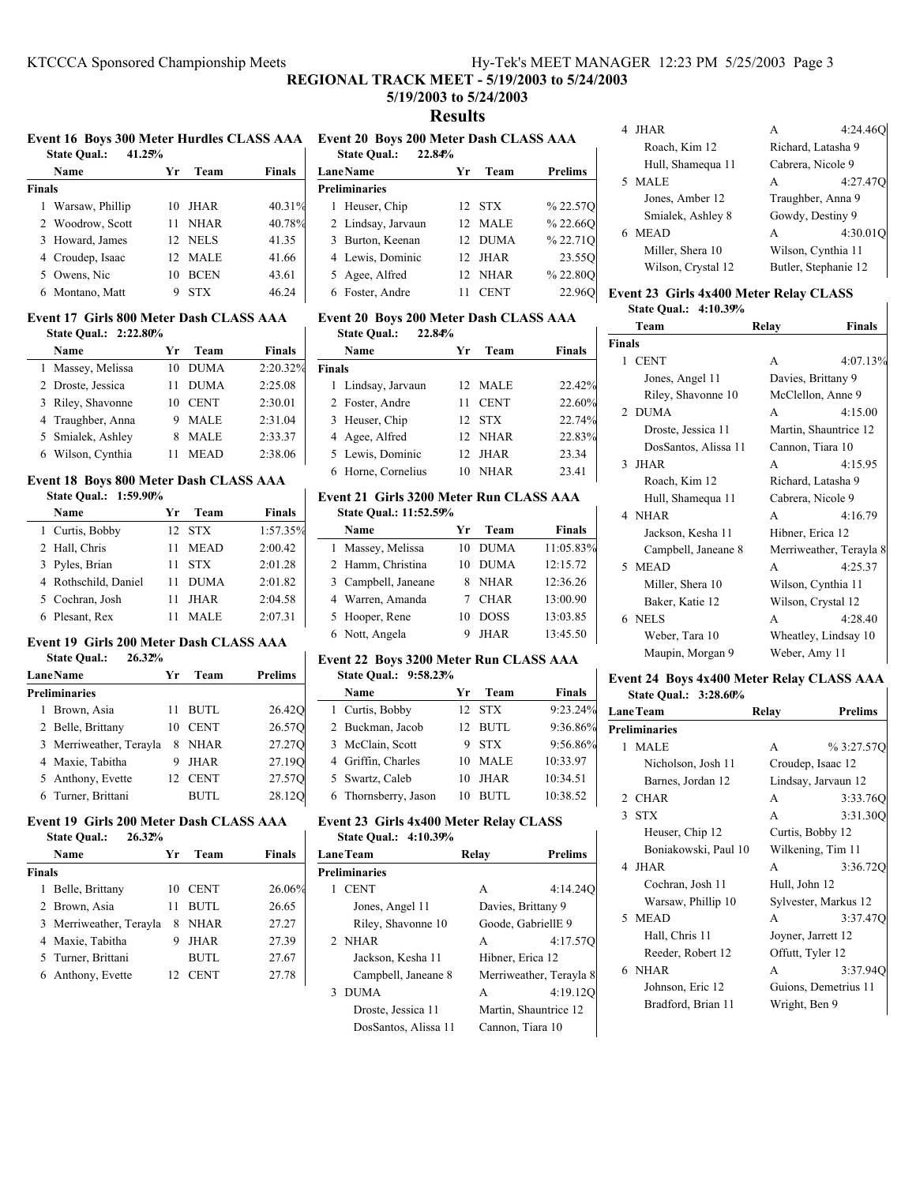## **REGIONAL TRACK MEET - 5/19/2003 to 5/24/2003**

## **5/19/2003 to 5/24/2003 Results**

#### **Event 16 Boys 300 Meter Hurdles CLASS AAA Event 20 Boys 200 Meter Dash CLASS AAA**

|        | 41.25%<br><b>State Qual.:</b> |                 |             |               |
|--------|-------------------------------|-----------------|-------------|---------------|
|        | Name                          | Уr              | Team        | <b>Finals</b> |
| Finals |                               |                 |             |               |
|        | 1 Warsaw, Phillip             | 10              | JHAR        | 40.31%        |
|        | 2 Woodrow, Scott              | 11              | <b>NHAR</b> | 40.78%        |
|        | 3 Howard, James               |                 | 12 NELS     | 41.35         |
|        | 4 Croudep, Isaac              | 12 <sub>1</sub> | <b>MALE</b> | 41.66         |
|        | 5 Owens, Nic                  | 10              | <b>BCEN</b> | 43.61         |
|        | 6 Montano, Matt               | Q               | STX         | 46.24         |

#### **Event 17 Girls 800 Meter Dash CLASS AAA State Qual.: 2:22.80%**

| Name              | Уr | Team        | <b>Finals</b> |
|-------------------|----|-------------|---------------|
| Massey, Melissa   | 10 | <b>DUMA</b> | 2:20.32%      |
| 2 Droste, Jessica |    | <b>DUMA</b> | 2:25.08       |
| 3 Riley, Shavonne | 10 | <b>CENT</b> | 2:30.01       |
| 4 Traughber, Anna |    | <b>MALE</b> | 2:31.04       |
| 5 Smialek, Ashley |    | <b>MALE</b> | 2:33.37       |
| 6 Wilson, Cynthia |    | <b>MEAD</b> | 2:38.06       |

#### **Event 18 Boys 800 Meter Dash CLASS AAA State Qual.: 1:59.90%**

| State Qual.: $1:59.90\%$ |    |             |               |
|--------------------------|----|-------------|---------------|
| Name                     | Уr | Team        | <b>Finals</b> |
| 1 Curtis, Bobby          |    | 12 STX      | 1:57.35%      |
| 2 Hall, Chris            | 11 | <b>MEAD</b> | 2:00.42       |
| 3 Pyles, Brian           | 11 | <b>STX</b>  | 2:01.28       |
| 4 Rothschild, Daniel     | 11 | <b>DUMA</b> | 2:01.82       |
| 5 Cochran, Josh          | 11 | <b>JHAR</b> | 2:04.58       |
| 6 Plesant, Rex           |    | <b>MALE</b> | 2:07.31       |

#### **Event 19 Girls 200 Meter Dash CLASS AAA State Qual.: 26.32%**

| <b>Lane Name</b>        | Уr | Team        | <b>Prelims</b> |
|-------------------------|----|-------------|----------------|
| <b>Preliminaries</b>    |    |             |                |
| 1 Brown, Asia           | 11 | <b>BUTL</b> | 26.42Q         |
| 2 Belle, Brittany       |    | <b>CENT</b> | 26.57Q         |
| 3 Merriweather, Terayla |    | <b>NHAR</b> | 27.27Q         |
| 4 Maxie, Tabitha        | 9  | <b>JHAR</b> | 27.19Q         |
| 5 Anthony, Evette       | 12 | <b>CENT</b> | 27.57Q         |
| 6 Turner, Brittani      |    | BUTL        | 28.12          |

## **Event 19 Girls 200 Meter Dash CLASS AAA**

|        | 26.32%<br><b>State Oual.:</b> |    |             |               |
|--------|-------------------------------|----|-------------|---------------|
|        | Name                          | Уr | Team        | <b>Finals</b> |
| Finals |                               |    |             |               |
|        | Belle, Brittany               | 10 | <b>CENT</b> | 26.06%        |
|        | 2 Brown, Asia                 | 11 | BUTL        | 26.65         |
|        | 3 Merriweather, Terayla       | 8  | <b>NHAR</b> | 27.27         |
|        | 4 Maxie, Tabitha              | 9  | JHAR        | 27.39         |
|        | 5 Turner, Brittani            |    | BUTL        | 27.67         |
|        | Anthony, Evette               |    | <b>CENT</b> | 27.78         |

# **State Qual.: 22.84% LaneName Team** Prelims **Preliminaries** 1 Heuser, Chip 12 STX  $\%$  22.57Q 2 Lindsay, Jarvaun 12 MALE % 22.66Q

| 2 Lindsay, Jarvaun | 12 MALE | 70 ZZ.00U |
|--------------------|---------|-----------|
| 3 Burton, Keenan   | 12 DUMA | %22.71Q   |
| 4 Lewis, Dominic   | 12 JHAR | 23.550    |
| 5 Agee, Alfred     | 12 NHAR | %22.80O   |
| 6 Foster, Andre    | 11 CENT | 22.960    |

#### **Event 20 Boys 200 Meter Dash CLASS AAA**<br>State Qual: 22.84% **State Qual.:**

|               | state Qual<br>44.0470 |    |             |        |
|---------------|-----------------------|----|-------------|--------|
|               | Name                  | Yг | Team        | Finals |
| <b>Finals</b> |                       |    |             |        |
|               | 1 Lindsay, Jarvaun    |    | 12 MALE     | 22.42% |
|               | 2 Foster, Andre       | 11 | <b>CENT</b> | 22.60% |
|               | 3 Heuser, Chip        |    | 12 STX      | 22.74% |
|               | 4 Agee, Alfred        |    | 12 NHAR     | 22.83% |
|               | 5 Lewis, Dominic      |    | 12 JHAR     | 23.34  |
|               | 6 Horne, Cornelius    | 10 | <b>NHAR</b> | 23.41  |

#### **Event 21 Girls 3200 Meter Run CLASS AAA State Qual.: 11:52.59%**

| Yг | Team                                                                                                                  | <b>Finals</b>            |
|----|-----------------------------------------------------------------------------------------------------------------------|--------------------------|
|    |                                                                                                                       | 11:05.83%                |
|    | <b>DUMA</b>                                                                                                           | 12:15.72                 |
|    |                                                                                                                       | 12:36.26                 |
|    |                                                                                                                       | 13:00.90                 |
| 10 | <b>DOSS</b>                                                                                                           | 13:03.85                 |
|    | <b>JHAR</b>                                                                                                           | 13:45.50                 |
|    | 1 Massey, Melissa<br>2 Hamm, Christina<br>3 Campbell, Janeane<br>4 Warren, Amanda<br>5 Hooper, Rene<br>6 Nott, Angela | DUMA<br>8 NHAR<br>7 CHAR |

#### **Event 22 Boys 3200 Meter Run CLASS AAA State Qual.: 9:58.23%**

| State Qual.: $9:58.25\%$ |    |             |               |
|--------------------------|----|-------------|---------------|
| Name                     | Yг | Team        | <b>Finals</b> |
| 1 Curtis, Bobby          |    | 12 STX      | 9:23.24%      |
| 2 Buckman, Jacob         |    | 12 BUTL     | 9:36.86%      |
| 3 McClain, Scott         |    | 9 STX       | 9:56.86%      |
| 4 Griffin, Charles       | 10 | <b>MALE</b> | 10:33.97      |
| 5 Swartz, Caleb          | 10 | <b>JHAR</b> | 10:34.51      |
| 6 Thornsberry, Jason     |    | <b>BUTL</b> | 10:38.52      |

## **Event 23 Girls 4x400 Meter Relay CLASS State Qual.: 4:10.39%**

| <b>LaneTeam</b> |                      | Relay              | <b>Prelims</b>          |
|-----------------|----------------------|--------------------|-------------------------|
|                 | <b>Preliminaries</b> |                    |                         |
|                 | <b>CENT</b>          | A                  | 4:14.24                 |
|                 | Jones, Angel 11      | Davies, Brittany 9 |                         |
|                 | Riley, Shavonne 10   |                    | Goode, GabriellE 9      |
|                 | 2 NHAR               | A                  | 4:17.57C                |
|                 | Jackson, Kesha 11    | Hibner, Erica 12   |                         |
|                 | Campbell, Janeane 8  |                    | Merriweather, Terayla 8 |
| 3               | <b>DUMA</b>          | A                  | 4:19.120                |
|                 | Droste, Jessica 11   |                    | Martin, Shauntrice 12   |
|                 | DosSantos, Alissa 11 |                    | Cannon, Tiara 10        |
|                 |                      |                    |                         |

| <b>JHAR</b>        | 4:24.46              |
|--------------------|----------------------|
| Roach, Kim 12      | Richard, Latasha 9   |
| Hull, Shamequa 11  | Cabrera, Nicole 9    |
| 5 MALE             | 4:27.47<br>A         |
| Jones, Amber 12    | Traughber, Anna 9    |
| Smialek, Ashley 8  | Gowdy, Destiny 9     |
| MEAD<br>6          | 4:30.01<br>A         |
| Miller, Shera 10   | Wilson, Cynthia 11   |
| Wilson, Crystal 12 | Butler, Stephanie 12 |

#### **Event 23 Girls 4x400 Meter Relay CLASS State Qual.: 4:10.39%**

|               | Team                 | Relay              | <b>Finals</b>           |
|---------------|----------------------|--------------------|-------------------------|
| <b>Finals</b> |                      |                    |                         |
|               | 1 CENT               | A                  | 4:07.13%                |
|               | Jones, Angel 11      | Davies, Brittany 9 |                         |
|               | Riley, Shavonne 10   |                    | McClellon, Anne 9       |
|               | 2 DUMA               | A                  | 4:15.00                 |
|               | Droste, Jessica 11   |                    | Martin, Shauntrice 12   |
|               | DosSantos, Alissa 11 | Cannon, Tiara 10   |                         |
|               | 3 JHAR               | A                  | 4:15.95                 |
|               | Roach, Kim 12        | Richard, Latasha 9 |                         |
|               | Hull, Shamequa 11    | Cabrera, Nicole 9  |                         |
|               | 4 NHAR               | A                  | 4:16.79                 |
|               | Jackson, Kesha 11    | Hibner, Erica 12   |                         |
|               | Campbell, Janeane 8  |                    | Merriweather, Terayla 8 |
|               | 5 MEAD               | A                  | 4:25.37                 |
|               | Miller, Shera 10     |                    | Wilson, Cynthia 11      |
|               | Baker, Katie 12      | Wilson, Crystal 12 |                         |
|               | 6 NELS               | A                  | 4:28.40                 |
|               | Weber, Tara 10       |                    | Wheatley, Lindsay 10    |
|               | Maupin, Morgan 9     | Weber, Amy 11      |                         |

## **Event 24 Boys 4x400 Meter Relay CLASS AAA**

| Event 24 Boys 4x400 Meter Relay CLASS AAA<br>State Oual.: 3:28.60% |                      |               |                      |  |  |
|--------------------------------------------------------------------|----------------------|---------------|----------------------|--|--|
| <b>LaneTeam</b><br><b>Prelims</b><br>Relay                         |                      |               |                      |  |  |
|                                                                    | <b>Preliminaries</b> |               |                      |  |  |
|                                                                    | 1 MALE               | A             | %3:27.57O            |  |  |
|                                                                    | Nicholson, Josh 11   |               | Croudep, Isaac 12    |  |  |
|                                                                    | Barnes, Jordan 12    |               | Lindsay, Jarvaun 12  |  |  |
|                                                                    | 2 CHAR               | A             | 3:33.760             |  |  |
|                                                                    | 3 STX                | A             | 3:31.300             |  |  |
|                                                                    | Heuser, Chip 12      |               | Curtis, Bobby 12     |  |  |
|                                                                    | Boniakowski, Paul 10 |               | Wilkening, Tim 11    |  |  |
|                                                                    | 4 JHAR               | $\mathsf{A}$  | 3:36.720             |  |  |
|                                                                    | Cochran, Josh 11     | Hull, John 12 |                      |  |  |
|                                                                    | Warsaw, Phillip 10   |               | Sylvester, Markus 12 |  |  |
|                                                                    | 5 MEAD               | A             | 3:37.470             |  |  |
|                                                                    | Hall, Chris 11       |               | Joyner, Jarrett 12   |  |  |
|                                                                    | Reeder, Robert 12    |               | Offutt, Tyler 12     |  |  |

6 3:37.94Q NHAR A Johnson, Eric 12 Guions, Demetrius 11 Bradford, Brian 11 Wright, Ben 9

 $\overline{\phantom{a}}$